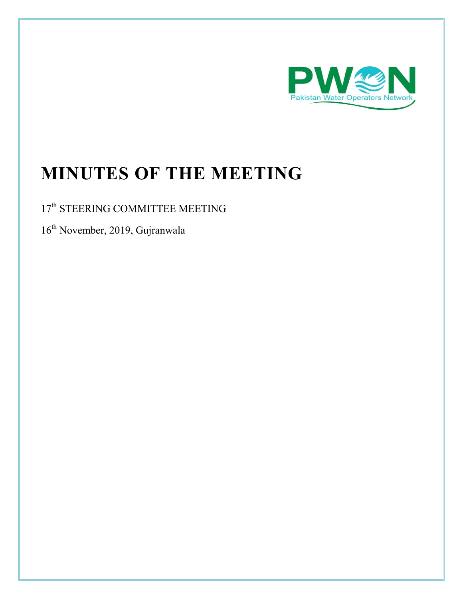

# **MINUTES OF THE MEETING**

### 17<sup>th</sup> STEERING COMMITTEE MEETING

 $16^{th}$  November, 2019, Gujranwala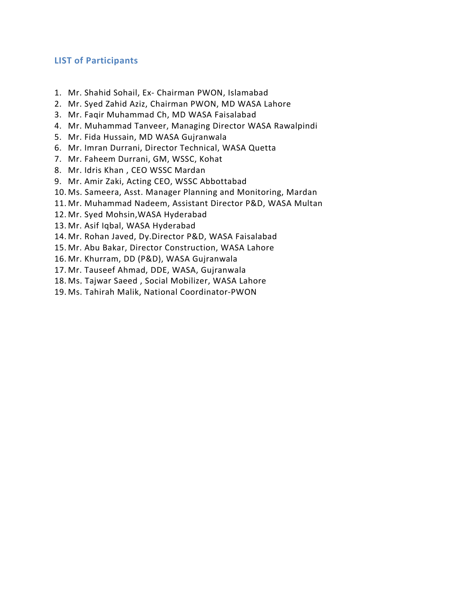### **LIST of Participants**

- 1. Mr. Shahid Sohail, Ex- Chairman PWON, Islamabad
- 2. Mr. Syed Zahid Aziz, Chairman PWON, MD WASA Lahore
- 3. Mr. Faqir Muhammad Ch, MD WASA Faisalabad
- 4. Mr. Muhammad Tanveer, Managing Director WASA Rawalpindi
- 5. Mr. Fida Hussain, MD WASA Gujranwala
- 6. Mr. Imran Durrani, Director Technical, WASA Quetta
- 7. Mr. Faheem Durrani, GM, WSSC, Kohat
- 8. Mr. Idris Khan , CEO WSSC Mardan
- 9. Mr. Amir Zaki, Acting CEO, WSSC Abbottabad
- 10. Ms. Sameera, Asst. Manager Planning and Monitoring, Mardan
- 11. Mr. Muhammad Nadeem, Assistant Director P&D, WASA Multan
- 12. Mr. Syed Mohsin,WASA Hyderabad
- 13. Mr. Asif Iqbal, WASA Hyderabad
- 14. Mr. Rohan Javed, Dy.Director P&D, WASA Faisalabad
- 15. Mr. Abu Bakar, Director Construction, WASA Lahore
- 16. Mr. Khurram, DD (P&D), WASA Gujranwala
- 17. Mr. Tauseef Ahmad, DDE, WASA, Gujranwala
- 18. Ms. Tajwar Saeed , Social Mobilizer, WASA Lahore
- 19. Ms. Tahirah Malik, National Coordinator-PWON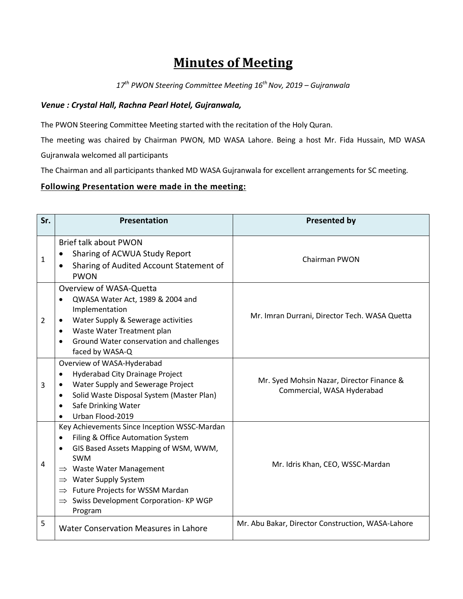## **Minutes of Meeting**

*17th PWON Steering Committee Meeting 16th Nov, 2019 – Gujranwala*

### *Venue : Crystal Hall, Rachna Pearl Hotel, Gujranwala,*

The PWON Steering Committee Meeting started with the recitation of the Holy Quran.

The meeting was chaired by Chairman PWON, MD WASA Lahore. Being a host Mr. Fida Hussain, MD WASA

Gujranwala welcomed all participants

The Chairman and all participants thanked MD WASA Gujranwala for excellent arrangements for SC meeting.

#### **Following Presentation were made in the meeting:**

| Sr.            | <b>Presentation</b>                                                                                                                                                                                                                                                                                                                     | <b>Presented by</b>                                                     |
|----------------|-----------------------------------------------------------------------------------------------------------------------------------------------------------------------------------------------------------------------------------------------------------------------------------------------------------------------------------------|-------------------------------------------------------------------------|
| $\mathbf{1}$   | <b>Brief talk about PWON</b><br>Sharing of ACWUA Study Report<br>Sharing of Audited Account Statement of<br>$\bullet$<br><b>PWON</b>                                                                                                                                                                                                    | <b>Chairman PWON</b>                                                    |
| $\overline{2}$ | Overview of WASA-Quetta<br>QWASA Water Act, 1989 & 2004 and<br>Implementation<br>Water Supply & Sewerage activities<br>Waste Water Treatment plan<br>٠<br>Ground Water conservation and challenges<br>faced by WASA-Q                                                                                                                   | Mr. Imran Durrani, Director Tech. WASA Quetta                           |
| 3              | Overview of WASA-Hyderabad<br>Hyderabad City Drainage Project<br>Water Supply and Sewerage Project<br>Solid Waste Disposal System (Master Plan)<br>$\bullet$<br>Safe Drinking Water<br>Urban Flood-2019                                                                                                                                 | Mr. Syed Mohsin Nazar, Director Finance &<br>Commercial, WASA Hyderabad |
| 4              | Key Achievements Since Inception WSSC-Mardan<br>Filing & Office Automation System<br>GIS Based Assets Mapping of WSM, WWM,<br><b>SWM</b><br>$\Rightarrow$ Waste Water Management<br>$\Rightarrow$ Water Supply System<br>$\Rightarrow$ Future Projects for WSSM Mardan<br>$\Rightarrow$ Swiss Development Corporation-KP WGP<br>Program | Mr. Idris Khan, CEO, WSSC-Mardan                                        |
| 5              | <b>Water Conservation Measures in Lahore</b>                                                                                                                                                                                                                                                                                            | Mr. Abu Bakar, Director Construction, WASA-Lahore                       |